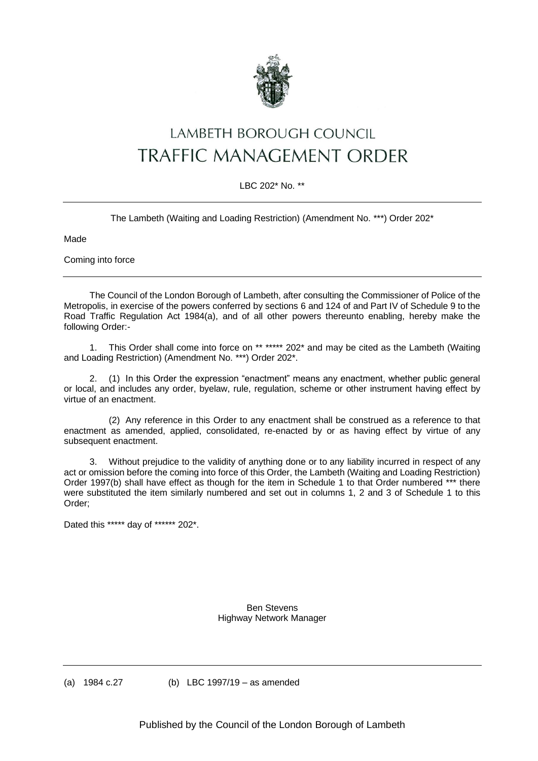

## LAMBETH BOROUGH COUNCIL TRAFFIC MANAGEMENT ORDER

## LBC 202\* No. \*\*

The Lambeth (Waiting and Loading Restriction) (Amendment No. \*\*\*) Order 202\*

Made

Coming into force

The Council of the London Borough of Lambeth, after consulting the Commissioner of Police of the Metropolis, in exercise of the powers conferred by sections 6 and 124 of and Part IV of Schedule 9 to the Road Traffic Regulation Act 1984(a), and of all other powers thereunto enabling, hereby make the following Order:-

1. This Order shall come into force on \*\* \*\*\*\*\* 202\* and may be cited as the Lambeth (Waiting and Loading Restriction) (Amendment No. \*\*\*) Order 202\*.

2. (1) In this Order the expression "enactment" means any enactment, whether public general or local, and includes any order, byelaw, rule, regulation, scheme or other instrument having effect by virtue of an enactment.

(2) Any reference in this Order to any enactment shall be construed as a reference to that enactment as amended, applied, consolidated, re-enacted by or as having effect by virtue of any subsequent enactment.

3. Without prejudice to the validity of anything done or to any liability incurred in respect of any act or omission before the coming into force of this Order, the Lambeth (Waiting and Loading Restriction) Order 1997(b) shall have effect as though for the item in Schedule 1 to that Order numbered \*\*\* there were substituted the item similarly numbered and set out in columns 1, 2 and 3 of Schedule 1 to this Order;

Dated this \*\*\*\*\* day of \*\*\*\*\*\* 202\*.

Ben Stevens Highway Network Manager

(a) 1984 c.27 (b) LBC 1997/19 – as amended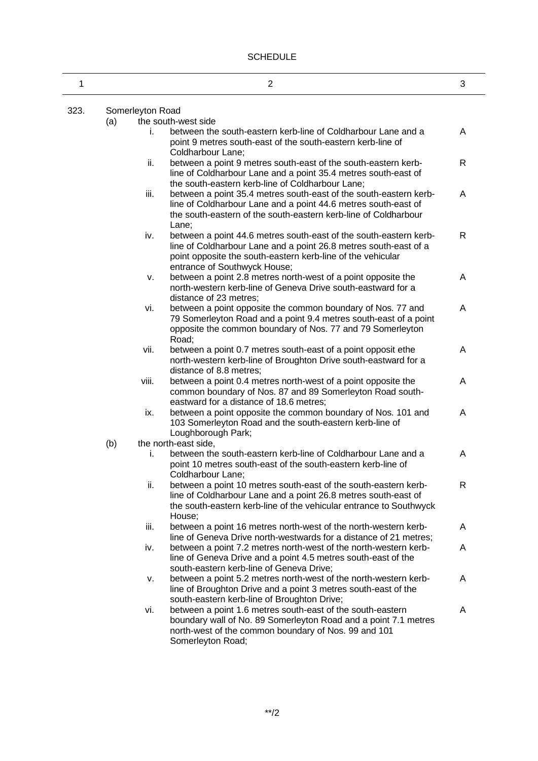| 1    |                  | 2                                                                                                                                                                                                                                                                           | 3            |  |
|------|------------------|-----------------------------------------------------------------------------------------------------------------------------------------------------------------------------------------------------------------------------------------------------------------------------|--------------|--|
| 323. | Somerleyton Road |                                                                                                                                                                                                                                                                             |              |  |
|      | (a)              | the south-west side                                                                                                                                                                                                                                                         |              |  |
|      |                  | between the south-eastern kerb-line of Coldharbour Lane and a<br>i.<br>point 9 metres south-east of the south-eastern kerb-line of<br>Coldharbour Lane;                                                                                                                     | A            |  |
|      |                  | ii.<br>between a point 9 metres south-east of the south-eastern kerb-<br>line of Coldharbour Lane and a point 35.4 metres south-east of                                                                                                                                     | R            |  |
|      |                  | the south-eastern kerb-line of Coldharbour Lane;<br>iii.<br>between a point 35.4 metres south-east of the south-eastern kerb-<br>line of Coldharbour Lane and a point 44.6 metres south-east of<br>the south-eastern of the south-eastern kerb-line of Coldharbour<br>Lane; | A            |  |
|      |                  | iv.<br>between a point 44.6 metres south-east of the south-eastern kerb-<br>line of Coldharbour Lane and a point 26.8 metres south-east of a<br>point opposite the south-eastern kerb-line of the vehicular<br>entrance of Southwyck House;                                 | R            |  |
|      |                  | between a point 2.8 metres north-west of a point opposite the<br>v.<br>north-western kerb-line of Geneva Drive south-eastward for a<br>distance of 23 metres;                                                                                                               | A            |  |
|      |                  | between a point opposite the common boundary of Nos. 77 and<br>vi.<br>79 Somerleyton Road and a point 9.4 metres south-east of a point<br>opposite the common boundary of Nos. 77 and 79 Somerleyton<br>Road;                                                               | A            |  |
|      |                  | vii.<br>between a point 0.7 metres south-east of a point opposit ethe<br>north-western kerb-line of Broughton Drive south-eastward for a<br>distance of 8.8 metres;                                                                                                         | Α            |  |
|      |                  | viii.<br>between a point 0.4 metres north-west of a point opposite the<br>common boundary of Nos. 87 and 89 Somerleyton Road south-<br>eastward for a distance of 18.6 metres;                                                                                              | A            |  |
|      |                  | between a point opposite the common boundary of Nos. 101 and<br>ix.<br>103 Somerleyton Road and the south-eastern kerb-line of<br>Loughborough Park;                                                                                                                        | A            |  |
|      | (b)              | the north-east side,                                                                                                                                                                                                                                                        |              |  |
|      |                  | between the south-eastern kerb-line of Coldharbour Lane and a<br>İ.<br>point 10 metres south-east of the south-eastern kerb-line of<br>Coldharbour Lane;                                                                                                                    | A            |  |
|      |                  | ii.<br>between a point 10 metres south-east of the south-eastern kerb-<br>line of Coldharbour Lane and a point 26.8 metres south-east of<br>the south-eastern kerb-line of the vehicular entrance to Southwyck<br>House;                                                    | $\mathsf{R}$ |  |
|      |                  | between a point 16 metres north-west of the north-western kerb-<br>iii.<br>line of Geneva Drive north-westwards for a distance of 21 metres;                                                                                                                                | A            |  |
|      |                  | iv.<br>between a point 7.2 metres north-west of the north-western kerb-<br>line of Geneva Drive and a point 4.5 metres south-east of the<br>south-eastern kerb-line of Geneva Drive;                                                                                        | A            |  |
|      |                  | between a point 5.2 metres north-west of the north-western kerb-<br>v.<br>line of Broughton Drive and a point 3 metres south-east of the<br>south-eastern kerb-line of Broughton Drive;                                                                                     | A            |  |
|      |                  | between a point 1.6 metres south-east of the south-eastern<br>vi.<br>boundary wall of No. 89 Somerleyton Road and a point 7.1 metres<br>north-west of the common boundary of Nos. 99 and 101<br>Somerleyton Road;                                                           | A            |  |